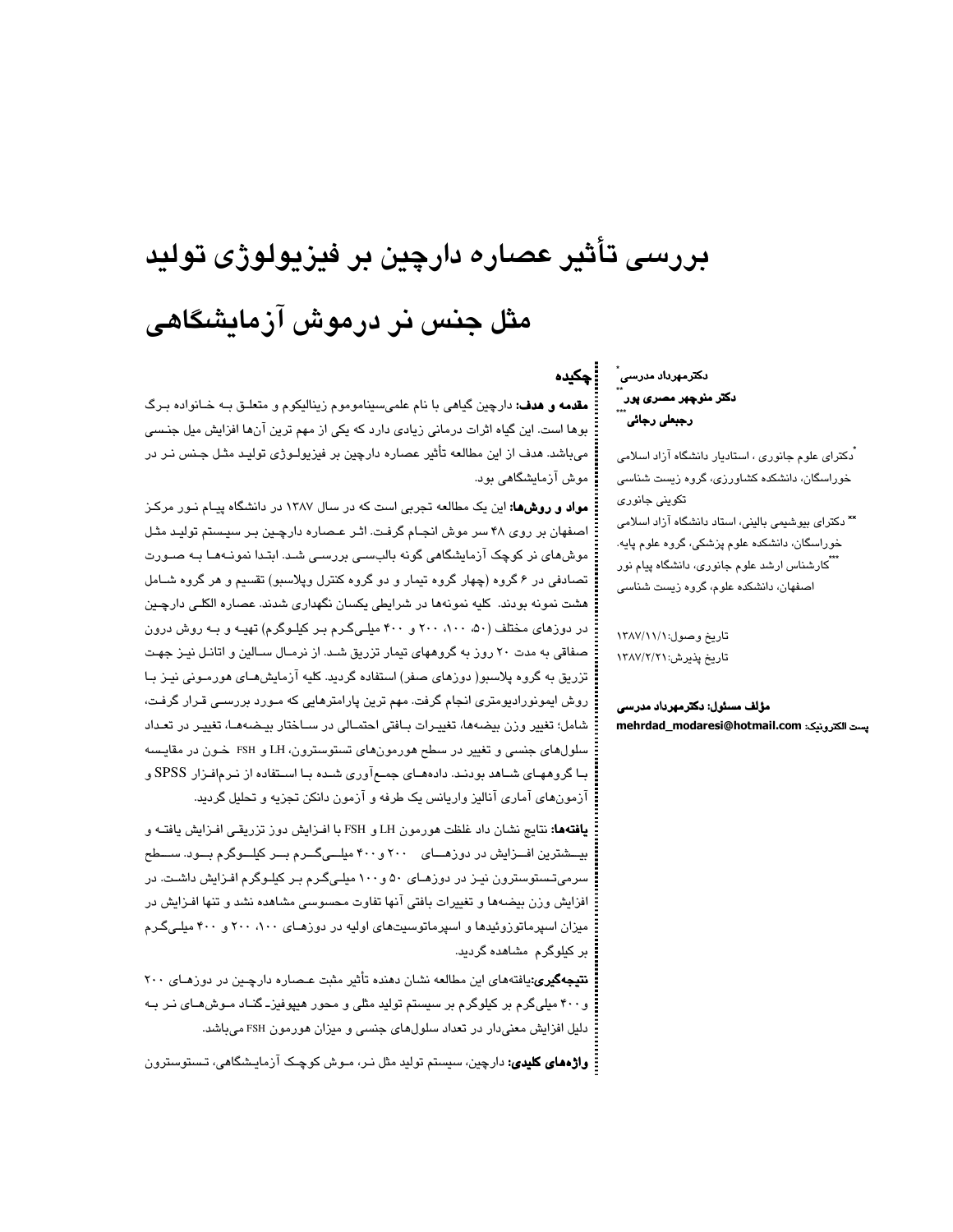# بررسی تأثیر عصاره دارچین بر فیزیولوژی تولید مثل جنس نر درموش آزمایشگاهی

دكترمهرداد مدرس*ی* ً ۔۔<br>دکتر منوچهر مصری پور<br>۔۔۔ رجبعل*ی* رجائی<sup>'</sup>

: ڇکنڊه

.<br>دکترای علوم جانوری ، استادیار دانشگاه آزاد اسلامی خوراسگان، دانشکده کشاورزی، گروه زیست شناسی تکوینی جانوری \*\* دکترای بیوشیمی بالینی، استاد دانشگاه آزاد اسلامی خوراسگان، دانشکده علوم پزشکی، گروه علوم پایه. <sup>ٔ</sup> کارشناس ارشد علوم جانوری، دانشگاه پیام نور اصفهان، دانشکده علوم، گروه زیست شناسی

تاريخ وصول:١٣٨٧/١١/ تاريخ پذيرش: ١٣٨٧/٢/٢

مؤلف مسئول: دکترمهرداد مدرسی يست الكترونيك: mehrdad\_modaresi@hotmail.com

**مقدمه و هدف:** دارچین گیاهی با نام علمی سیناموموم زینالیکوم و متعلـق بـه خـانواده بـرگ بوها است. این گیاه اثرات درمانی زیادی دارد که یکی از مهم ترین آنها افزایش میل جنسی میباشد. هدف از این مطالعه تأثیر عصاره دارچین بر فیزیولـوژی تولیـد مثـل جـنس نـر در موش آزمایشگاهی بود.

**مواد و روشها:** این یک مطالعه تجربی است که در سال ۱۳۸۷ در دانشگاه پیـام نـور مرکـز اصفهان بر روی ۴۸ سر موش انجـام گرفت. اثـر عـصاره دارچـین بـر سیـستم تولیـد مثـل موش مای نر کوچک آزمایشگاهی گونه بالبسـی بررسـی شـد. ابتـدا نمونـههـا بـه صـورت تصادفی در ۶ گروه (چهار گروه تیمار و دو گروه کنترل وپلاسبو) تقسیم و هر گروه شـامل هشت نمونه بودند. کلیه نمونهها در شرایطی یکسان نگهداری شدند. عصاره الکلـی دارچـین در دوزهای مختلف (۵۰، ۱۰۰، ۲۰۰ و ۴۰۰ میلی گرم بـر کیلـوگرم) تهیـه و بـه روش درون صفاقی به مدت ۲۰ روز به گروههای تیمار تزریق شـد. از نرمـال سـالین و اتانـل نیـز جهـت تزریق به گروه پلاسبو( دوزهای صفر) استفاده گردید. کلیه آزمایشهـای هورمـونی نیـز بـا روش ایمونورادیومتری انجام گرفت. مهم ترین پارامترهایی که مـورد بررسـی قـرار گرفـت، شامل؛ تغییر وزن بیضهها، تغییرات بافتی احتمـالی در سـاختار بیـضههـا، تغییـر در تعـداد سلولهای جنسی و تغییر در سطح هورمونهای تستوسترون، LH و FSH خـون در مقایـسه بـا گروههـای شـاهد بودنـد. دادههـای جمـع آوری شـده بـا اسـتفاده از نـرـمافـزار SPSS و آزمونهای آماری آنالیز واریانس یک طرفه و آزمون دانکن تجزیه و تحلیل گردید.

**یافتهها:** نتایج نشان داد غلظت هورمون LH و FSH با افـزایش دوز تزریقـی افـزایش یافتـه و بیـــشترین افـــزایش در دوزهـــای ۲۰۰ و ۴۰۰ میلـــیگـــرم بـــر کیلـــوگرم بـــود. ســـطح سرمیتستوسترون نیـز در دوزهـای ۵۰ و ۱۰۰میلـیگـرم بـر کیلـوگرم افـزایش داشـت. در افزایش وزن بیضهها و تغییرات بافتی آنها تفاوت محسوسی مشاهده نشد و تنها افـزایش در میزان اسپرماتوزوئیدها و اسپرماتوسیتهای اولیه در دوزهـای ۱۰۰، ۲۰۰ و ۴۰۰ میلـیگـرم بر کیلوگرم مشاهده گردید.

نتیجهگیری:یافتههای این مطالعه نشان دهنده تأثیر مثبت عـصاره دارچـین در دوزهـای ۲۰۰ و۴۰۰ میلیگرم بر کیلوگرم بر سیستم تولید مثلی و محور هیپوفیز۔گنـاد مـوش۵مـای نـر بـه دلیل افزایش معنیدار در تعداد سلولهای جنسی و میزان هورمون FSH میباشد.

: **واژەھای کلیدی:** دارچین، سیستم تولید مثل نـر، مـوش کوچـک آزمایـشگاهی، تـسـتوسـترون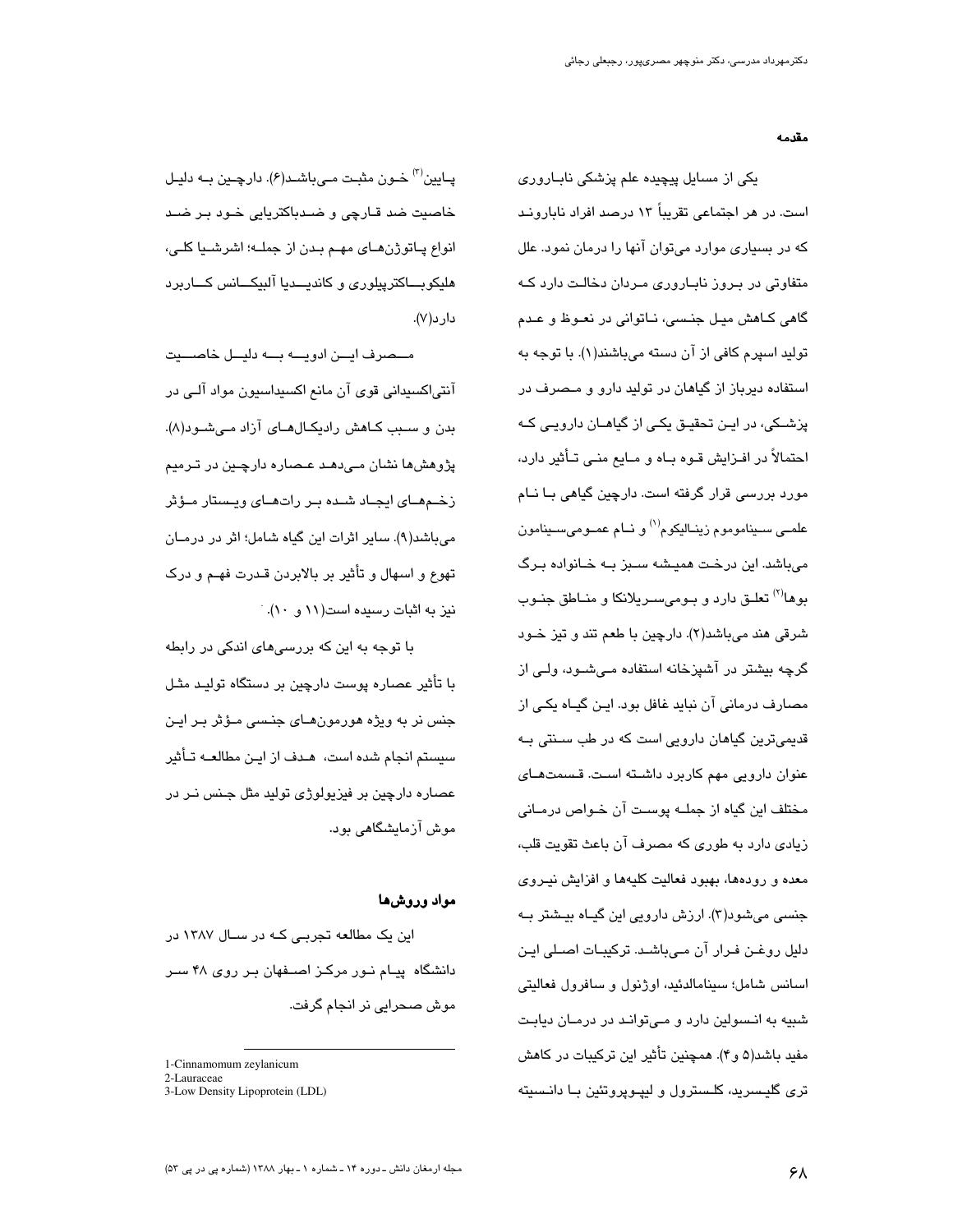مقدمه

یکی از مسایل پیچیده علم پزشکی نابـاروری است. در هر اجتماعی تقریباً ۱۳ درصد افراد نابارونـد که در بسیاری موارد میتوان آنها را درمان نمود. علل متفاوتی در بـروز نابـاروری مـردان دخالـت دارد کـه گاهی کـاهش میـل جنـسی، نــاتوانی در نعـوظ و عـدم تولید اسپرم کافی از آن دسته میباشند(۱). با توجه به استفاده دیرباز از گیاهان در تولید دارو و مـصرف در پزشــکی، در ایــن تحقیــق یکــی از گیاهــان دارویــی کــه احتمالاً در افـزایش قـوه بـاه و مـایع منـی تـأثیر دارد، مورد بررسی قرار گرفته است. دارچین گیاهی بـا نــام علمــي ســيناموموم زينــاليكوم<sup>(۱)</sup> و نــام عمــوميســينامون میباشد. این درخت همیشه سـبز بـه خـانواده بـرگ بوها<sup>(۲)</sup> تعلـق دارد و بـومیسـریلانکا و منــاطق جنـوب شرقی هند میباشد(۲). دارچین با طعم تند و تیز خـود گرچه بیشتر در آشیزخانه استفاده مے،شـود، ولـے از مصارف درمانی آن نباید غافل بود. ایـن گیـاه یکـی از قدیمیترین گیاهان دارویی است که در طب سـنتی بـه عنوان دارویی مهم کاربرد داشته است. قسمتهـای مختلف این گیاه از جملــه پوسـت آن خـواص درمــانی زیادی دارد به طوری که مصرف آن باعث تقویت قلب، معده و رودهها، بهبود فعالیت کلیهها و افزایش نیـروی جنسی میشود(۳). ارزش دارویی این گیـاه بیـشتر بـه دلیل روغـن فـرار آن مـیباشـد. ترکیبـات اصـلی ایـن اسانس شامل؛ سينامالدئيد، اوژنول و سافرول فعاليتي شبیه به انـسولین دارد و مـیتوانـد در درمـان دیابـت مفید باشد(۵ و۴). همچنین تأثیر این ترکیبات در کاهش تری گلیسرید، کلـسترول و لیپـوپروتئین بـا دانـسیته

پـايين<sup>(۳)</sup> خـون مثبـت مـيباشـد(۶). دارچـين بـه دليـل خاصیت ضد قـارچی و ضـدباکتریایی خـود بـر ضـد انواع پـاتوژن،هـای مهـم بـدن از جملــه؛ اشرشــيا کلــی، هلیکوبــاکترپیلوری و کاندیــدیا آلبیکــانس کــاربرد دار د(۷).

مــصرف ايــن ادويـــه بـــه دليــل خاصـــيت آنتیاکسیدانی قوی آن مانع اکسیداسیون مواد آلـی در بدن و سبب کاهش رادیکالهای آزاد میشود(۸). پژوهش ها نشان مے دهند عنصار و دارچنین در تیرمنم زخـمهـای ایجـاد شـده بـر راتهـای ویـستار مـؤثر می باشد(۹). سایر اثرات این گیاه شامل؛ اثر در درمـان تهوع و اسهال و تأثیر بر بالابردن قـدرت فهـم و درک نیز به اثبات رسیده است(۱۱ و ۱۰).

با توجه به این که بررسیِهای اندکی در رابطه با تأثیر عصاره پوست دارچین بر دستگاه تولیـد مثـل جنس نر به ویژه هورمون هـای جنـسی مـؤثر بـر ایـن سیستم انجام شده است، هـدف از ایـن مطالعــه تـأثیر عصاره دارچین بر فیزیولوژی تولید مثل جـنس نـر در موش آزمایشگاهی بود.

### مواد وروشها

این یک مطالعه تجربے کـه در سـال ۱۳۸۷ در دانشگاه پیـام نـور مرکـز اصــفهان بـر روی ۴۸ سـر موش صحرابے نر انجام گرفت.

<sup>1-</sup>Cinnamomum zevlanicum

<sup>2-</sup>Lauraceae

<sup>3-</sup>Low Density Lipoprotein (LDL)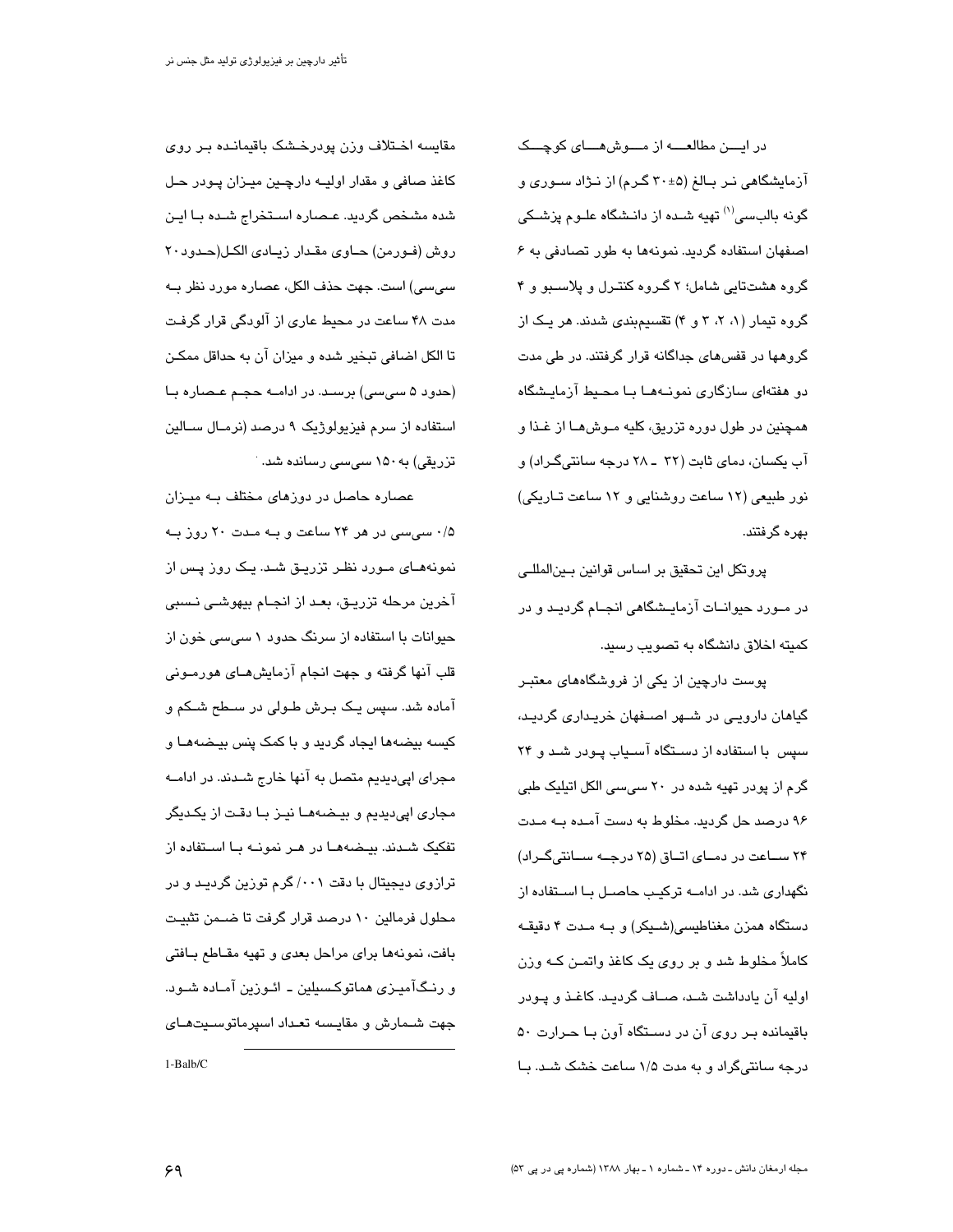در ایسن مطالعسه از مسوش هسای کوچسک آزمایشگاهی نـر بـالغ (۳۰±۴۰ گـرم) از نـژاد سـوری و گو نه بالبسے،<sup>(۱)</sup> تهیه شـده از دانـشگاه علـوم پزشـک*ی* اصفهان استفاده گردید. نمونهها به طور تصادفی به ۶ گروه هشتتایی شامل؛ ۲ گـروه کنتـرل و پلاسـبو و ۴ گروه تیمار (۱، ۲، ۳ و ۴) تقسیمبندی شدند. هر یک از گروهها در قفسهای جداگانه قرار گرفتند. در طی مدت دو هفتهای سازگاری نمونـههـا بـا محـیط آزمایـشگاه همچنین در طول دوره تزریق، کلیه مـوش۵ـا از غـذا و آب یکسان، دمای ثابت (۳۲ ـ ۲۸ درجه سانتیگراد) و نور طبیعی (۱۲ ساعت روشنایی و ۱۲ ساعت تـاریکی) بهره گرفتند.

پروتکل این تحقیق بر اساس قوانین بـینالمللـی در مــورد حیوانــات آزمایــشگاهی انجــام گردیــد و در کمیته اخلاق دانشگاه به تصویب رسید.

پوست دارچین از یکی از فروشگاههای معتبـر گیاهان دارویے در شــهر اصــفهان خریـداری گردیـد، سپس با استفاده از دسـتگاه آسـیاب پـودر شـد و ۲۴ گرم از پودر تهیه شده در ۲۰ سیسی الکل اتیلیک طبی ۹۶ درصد حل گردید. مخلوط به دست آمـده بــه مـدت ۲۴ سـاعت در دمـای اتـاق (۲۵ درجـه سـانتی گـراد) نگهداری شد. در ادامــه ترکیـب حاصــل بــا اســتفاده از دستگاه همزن مغناطیسی(شیکر) و بـه مـدت ۴ دقیقـه کاملاً مخلوط شد و بر روی یک کاغذ واتمـن کــه وزن اولیه آن پادداشت شـد، صـاف گردیـد. کاغـذ و پـودر باقیمانده بـر روی آن در دسـتگاه آون بـا حـرارت ۵۰ درجه سانتیگراد و به مدت ۱/۵ ساعت خشک شد. با

مقايسه اختلاف وزن پودرخشک باقيمانىده بىر روى کاغذ صافی و مقدار اولیــه دارچــین میـزان پـودر حـل شده مشخص گردید. عـصاره اسـتخراج شـده بـا ایـن روش (فورمن) حاوى مقدار زيادى الكل(حدود٢٠ سے سے) است. جهت حذف الکل، عصاره مورد نظر بــه مدت ۴۸ ساعت در محیط عاری از آلودگی قرار گرفت تا الکل اضافی تبخیر شده و میزان آن به حداقل ممکـن (حدود ۵ سی سی) برسـد. در ادامــه حجـم عـصـاره بــا استفاده از سرم فیزیولوژیک ۹ درصد (نرمـال سـالین تزریقی) به ۱۵۰ سی سی رسانده شد.

عصاره حاصل در دوزهای مختلف بـه میـزان ۰/۵ سی سی در هر ۲۴ ساعت و بـه مـدت ۲۰ روز بـه نمونههـای مـورد نظـر تزریـق شـد. یـک روز پـس از آخرین مرحله تزریـق، بعـد از انجـام بیهوشـی نـسبی حیوانات با استفاده از سرنگ حدود ۱ سے سے خون از قلب آنها گرفته و جهت انجام آزمایشهــای هورمــونی آماده شد. سپس یـک بـرش طـولی در سـطح شـکم و کیسه بیضهها ایجاد گردید و با کمک پنس بیضههـا و مجرای اپی دیدیم متصل به آنها خارج شـدند. در ادامــه مجاری اپی دیدیم و بیـضـهمـا نیـز بـا دقـت از یکـدیگر تفکیک شـدند. بیـضـهمـا در هـر نمونــه بـا اسـتفاده از ترازوی دیجیتال با دقت ۰۰۱/ گرم توزین گردیـد و در محلول فرمالین ۱۰ درصد قرار گرفت تا ضـمن تثبیـت بافت، نمونهها براى مراحل بعدى و تهيه مقـاطع بـافتى و رنـگآميـزي هماتوكـسيلين ــ ائـوزين آمـاده شــود. حهت شيمارش و مقايسيه تعبداد اسيرماتوسيت هياي  $1-Balb/C$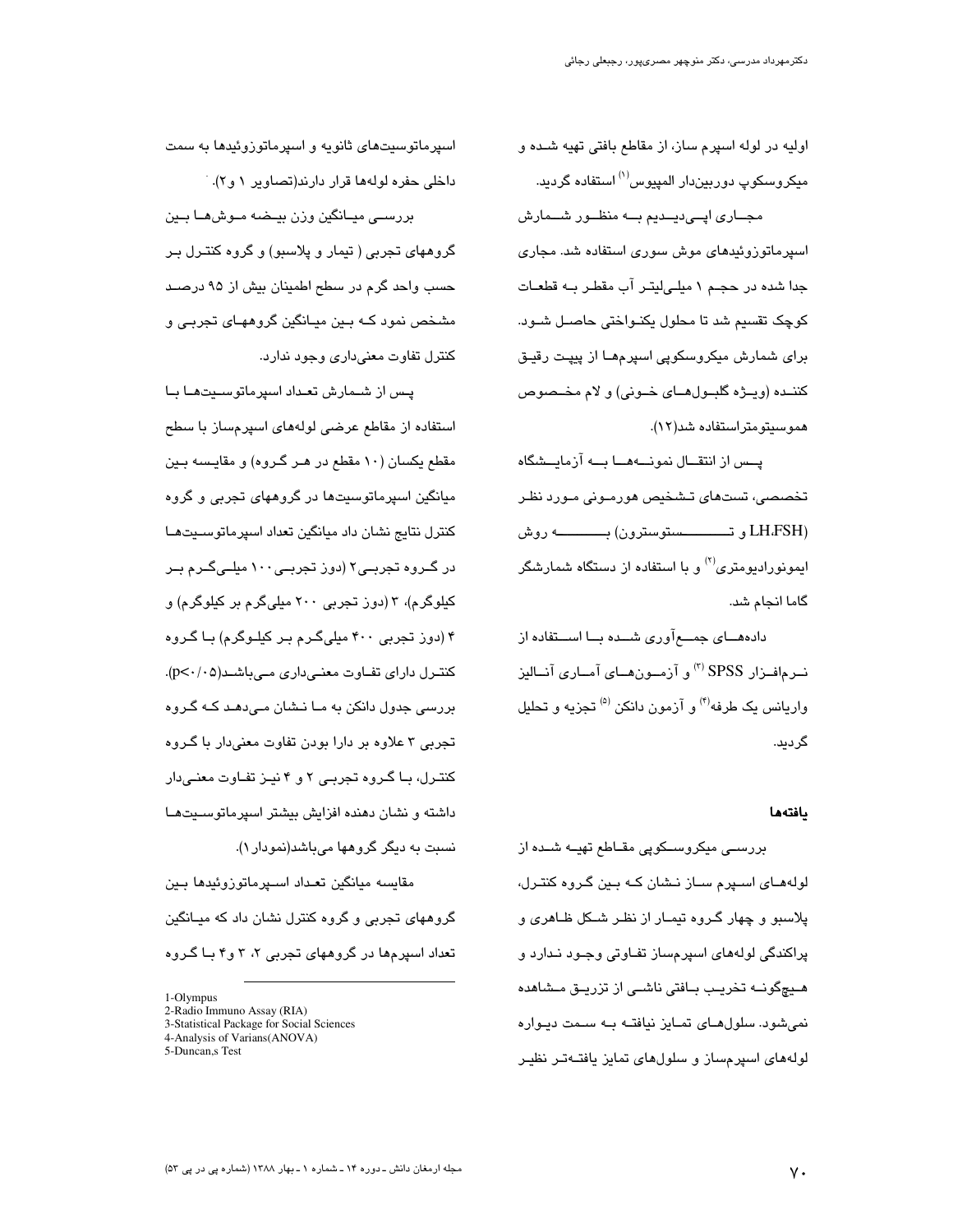اوليه در لوله اسپرم ساز، از مقاطع بافتی تهيه شده و میکروسکوپ دوربیندار المپیوس<sup>(۱)</sup> استفاده گردید. مجــاری اپــی،پــدیم بــه منظــور شــمارش

اسپرماتوزوئیدهای موش سوری استفاده شد. مجاری جدا شده در حجـم ۱ میلـیلیتـر آب مقطـر بـه قطعـات کوچک تقسیم شد تا محلول یکنـواختی حاصـل شـود. برای شمارش میکروسکوپی اسپرمهـا از پیپـت رقیـق كننـده (ويــژه گلبــول هــاى خــونى) و لام مخــصوص هموسيتومتراستفاده شد(١٢).

پــس از انتقــال نمونـــههـــا بـــه آزمايــشگاه تخصصی، تستهای تـشخیص هورمـونی مـورد نظـر (LH،FSH و تــــــــــــستوسترون) بــــــــــــــــــــه روش ایموزورادیومتری<sup>(۲)</sup> و با استفاده از دستگاه شمارشگر گاما انجام شد.

دادههـــای جمــــع آوری شـــده بـــا اســـتفاده از نــرمافــزار SPSS (") و آزمــون۱صای آمــاری آنــالیز واریانس یک طرفه<sup>(۴)</sup> و آزمون دانکن <sup>(۵)</sup> تجزیه و تحلیل گرديد.

#### يافتهها

بررسے میکروسکویی مقـاطع تھیــه شــده از لولههـای اســپرم ســاز نــشان کــه بــین گـروه کنتـرل، پلاسبو و چهار گـروه تیمـار از نظـر شـكل ظـاهرى و پراکندگی لولههای اسپرمساز تفـاوتی وجـود نـدارد و هــیچگونــه تخریــب بــافتی ناشــی از تزریــق مــشاهده نمی شود. سلول های تمـایز نیافتـه بـه سـمت دیـواره لولههای اسپرمساز و سلولهای تمایز یافتـهتـر نظیـر

اسپرماتوسیتهای ثانویه و اسپرماتوزوئیدها به سمت داخلی حفره لولهها قرار دارند(تصاویر ۱ و ۲). بررسے میـانگین وزن بیـضه مـوشهـا بـین گروههای تجربی ( تیمار و پلاسبو) و گروه کنتـرل بـر حسب واحد گرم در سطح اطمینان بیش از ۹۵ درصـد مشخص نمود کــه بــین میــانگین گروههــای تـجربــی و کنترل تفاوت معنی داری وجود ندارد.

یس از شـمارش تعـداد اسپرماتوسـیتهـا بـا استفاده از مقاطع عرضی لولههای اسپرمساز با سطح مقطع یکسان (۱۰ مقطع در هـر گـروه) و مقایـسه بـین میانگین اسپرماتوسیتها در گروههای تجربی و گروه كنترل نتايج نشان داد ميانگين تعداد اسپرماتوسىيتها در گــروه تجربــی۲ (دوز تجربــی ۱۰۰ میلــیگــرم بــر کیلوگرم)، ۳ (دور تجربی ۲۰۰ میلی گرم بر کیلوگرم) و ۴ (دوز تجربی ۴۰۰ میلیگرم بـر کیلـوگرم) بـا گـروه کنتـرل دارای تفـاوت معنـیداری مـیباشـد(p<۰/۰۵). بررسی جدول دانکن به مـا نــشان مـیدهـد کــه گــروه تجربی ۳ علاوه بر دارا بودن تفاوت معنیدار با گــروه کنترل، با گروه تجربی ۲ و ۴ نیز تفاوت معنی دار داشته و نشان دهنده افزایش بیشتر اسپرماتوسـیتهـا نسبت به دیگر گروهها میباشد(نمودار ۱).

مقايسه ميانگين تعـداد اســپرماتوزوئيدها بــين گروههای تجربی و گروه کنترل نشان داد که میـانگین تعداد اسپرمها در گروههای تجربی ۲، ۳ و۴ بـا گـروه

<sup>1-</sup>Olympus

<sup>2-</sup>Radio Immuno Assay (RIA)

<sup>3-</sup>Statistical Package for Social Sciences

<sup>4-</sup>Analysis of Varians(ANOVA)

<sup>5-</sup>Duncan, STest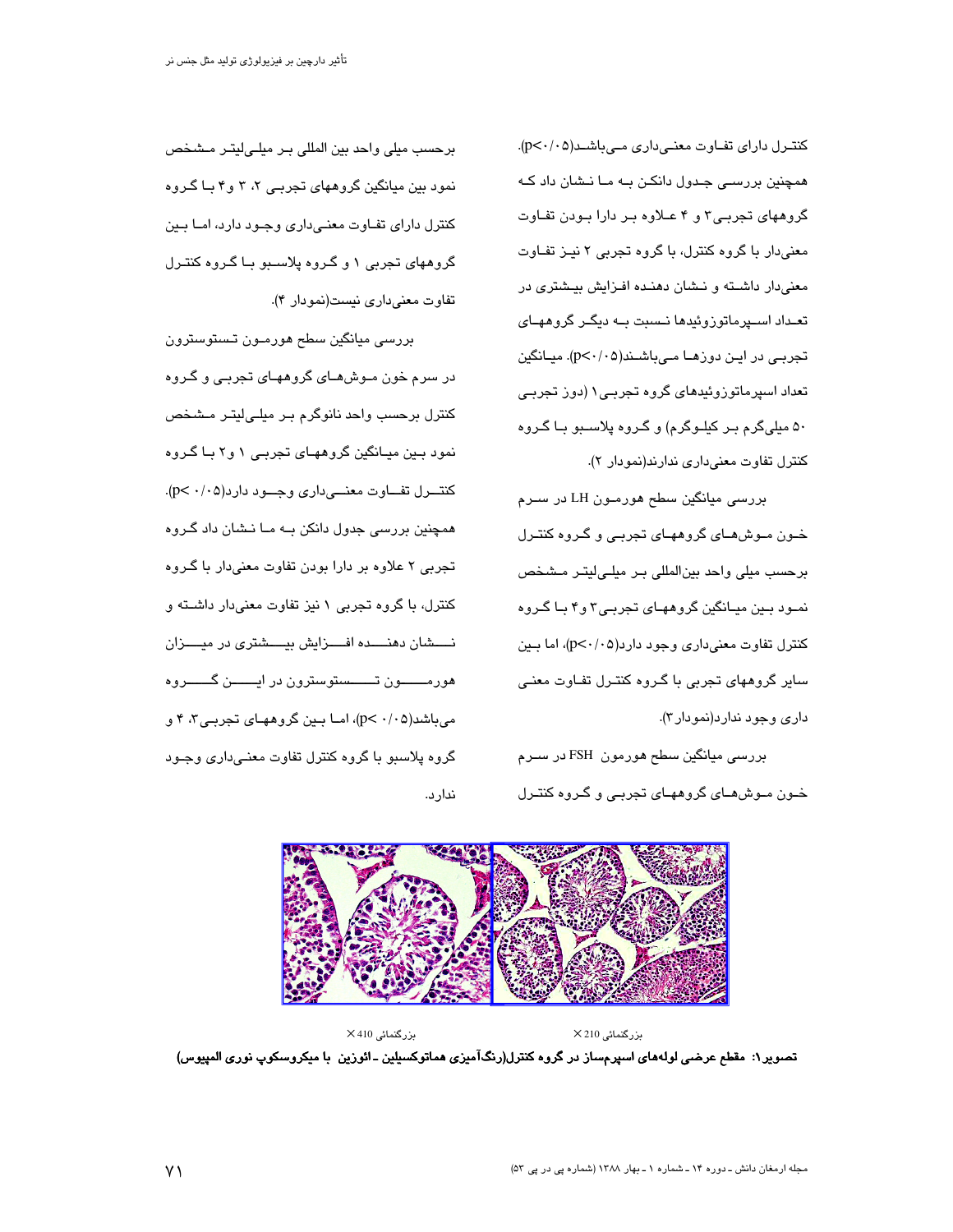کنترل دارای تفاوت معنیداری میباشد(p<٠/٠٥). همچنین بررسـی جـدول دانکـن بــه مــا نــشان داد کــه گروههای تجربی۳ و ۴ عـلاوه بـر دارا بـودن تفـاوت معنی دار با گروه کنترل، با گروه تجربی ۲ نیـز تفـاوت معنیدار داشته و نشان دهنده افزایش بیشتری در تعـداد اســپرماتوزوئیدها نــسبت بــه دیگــر گروههــای تجربی در این دوزهـا مـیباشـند(p<۰/۰۵). میـانگین تعداد اسپرماتوزوئیدهای گروه تجربـی۱ (دوز تجربـی ۵۰ میلیگرم بـر کیلـوگرم) و گـروه پلاســبو بـا گـروه کنترل تفاوت معنى دارى ندارند(نمودار ٢).

بررسی میانگین سطح هورمون LH در سـرم خـون مـوشهـای گروههـای تجربـی و گـروه کنتـرل برحسب میلی واحد بینالمللی بـر میلـیلیتـر مـشخص نمـود بـين ميـانگين گروههـای تجربـی۳ و۴ بـا گـروه کنترل تفاوت معنیداری وجود دارد(p<۰/۰۵)، اما بـین سایر گروههای تجربی با گـروه کنتـرل تفـاوت معنـی داری وجود ندارد(نمودار۳).

بررسی میانگین سطح هورمون FSH در سـرم خـون مـوشهـای گروههـای تجربـی و گـروه کنتـرل

برحسب ميلي واحد بين المللي بـر ميلـي|ليتـر مـشخص نمود بین میانگین گروههای تجربے ۲، ۳ و۴ بـا گـروه کنترل دارای تفـاوت معنـی داری وجـود دارد، امـا بـین گروههای تجربی ۱ و گـروه پلاسـبو بـا گـروه کنتـرل تفاوت معنى دارى نيست(نمودار ۴).

بررسی میانگین سطح هورمـون تـستوسترون در سرم خون مـوش۵مـای گروههـای تجربـی و گـروه کنترل برحسب واحد نانوگرم بـر میلـی|لیتـر مـشـخص نمود بين ميـانگين گروههـای تجربـی ۱ و۲ بـا گـروه کنتـــــــــرل تفـــــــــاوت معنــــــــىدارى وجــــــــود دارد(p< ۰/۰۵). همچنین بررسی جدول دانکن بـه مـا نـشان داد گـروه تجربي ٢ علاوه بر دارا بودن تفاوت معنىدار با گــروه کنترل، با گروه تجربی ۱ نیز تفاوت معنیدار داشته و نسسشان دهنسده افسـزایش بیســشتری در میســزان هورمــــــون تــــــستوسترون در ايـــــــن گـــــــروه می باشد(۰/۰۵)، اما بین گروههای تجربی۳، ۴ و گروه پلاسبو با گروه کنترل تفاوت معنـیداری وجـود ندارد.



 $\times$ 410 بزرگنمائی ىزرگنمائى X 210 تصویر ۱: مقطع عرضی لولههای اسپرمساز در گروه کنترل(رنگآمیزی هماتوکسیلین ـ ائوزین با میکروسکوپ نوری المپیوس)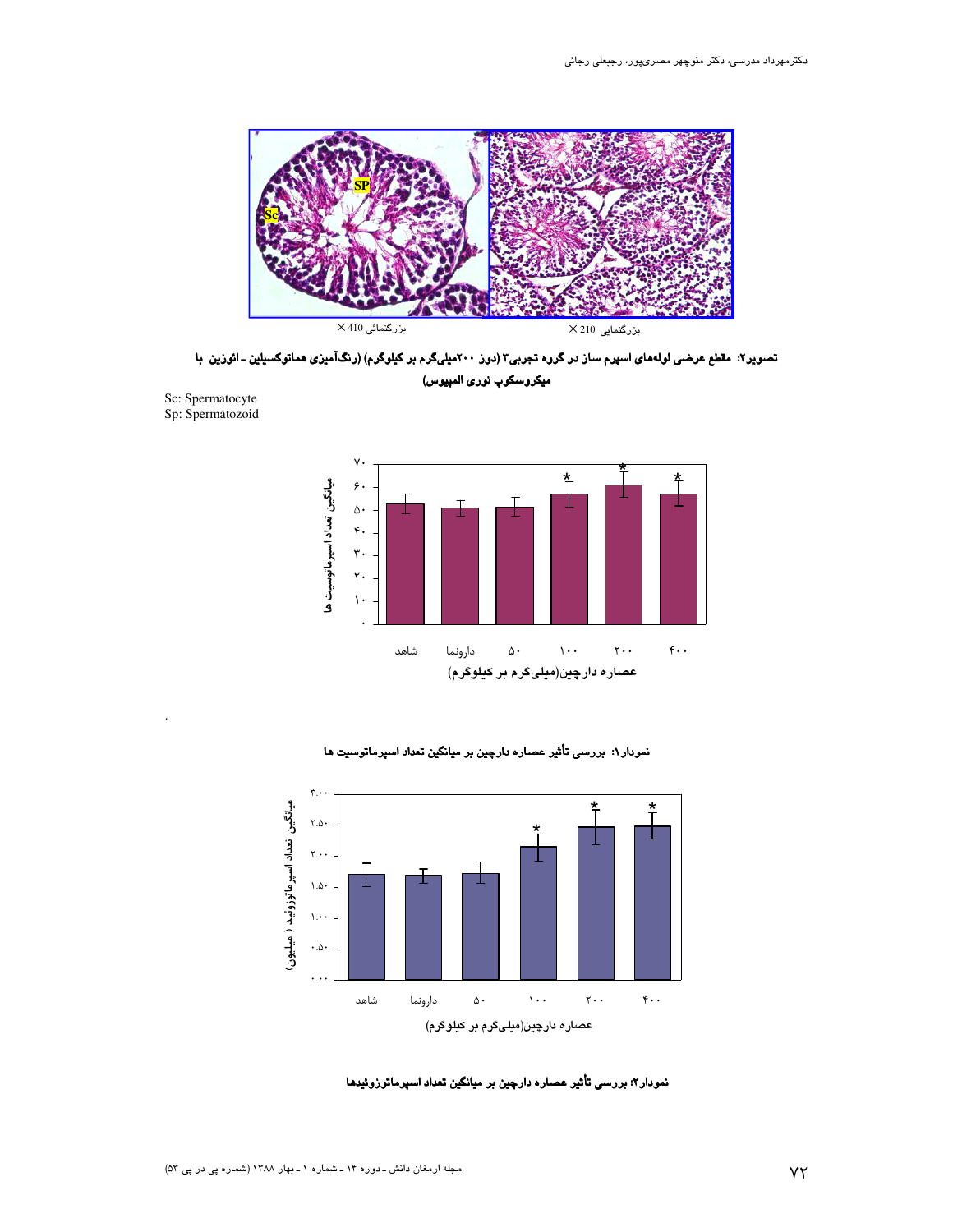

تصویر۲: مقطع عرضی لولههای اسپرم ساز در گروه تجربی۳ (دوز ۲۰۰میلیگرم بر کیلوگرم) (رنگآمیزی هماتوکسیلین ـ ائوزین با میکروسکوپ نوری المپیوس)



نمودار ۱: بررسی تأثیر عصاره دارچین بر میانگین تعداد اسپرماتوسیت ها



عصاره دارچین(میلیگرم بر کیلوگرم)

نمودار۲: بررسی تأثیر عصاره دارچین بر میانگین تعداد اسپرماتوزوئیدها

Sc: Spermatocyte Sp: Spermatozoid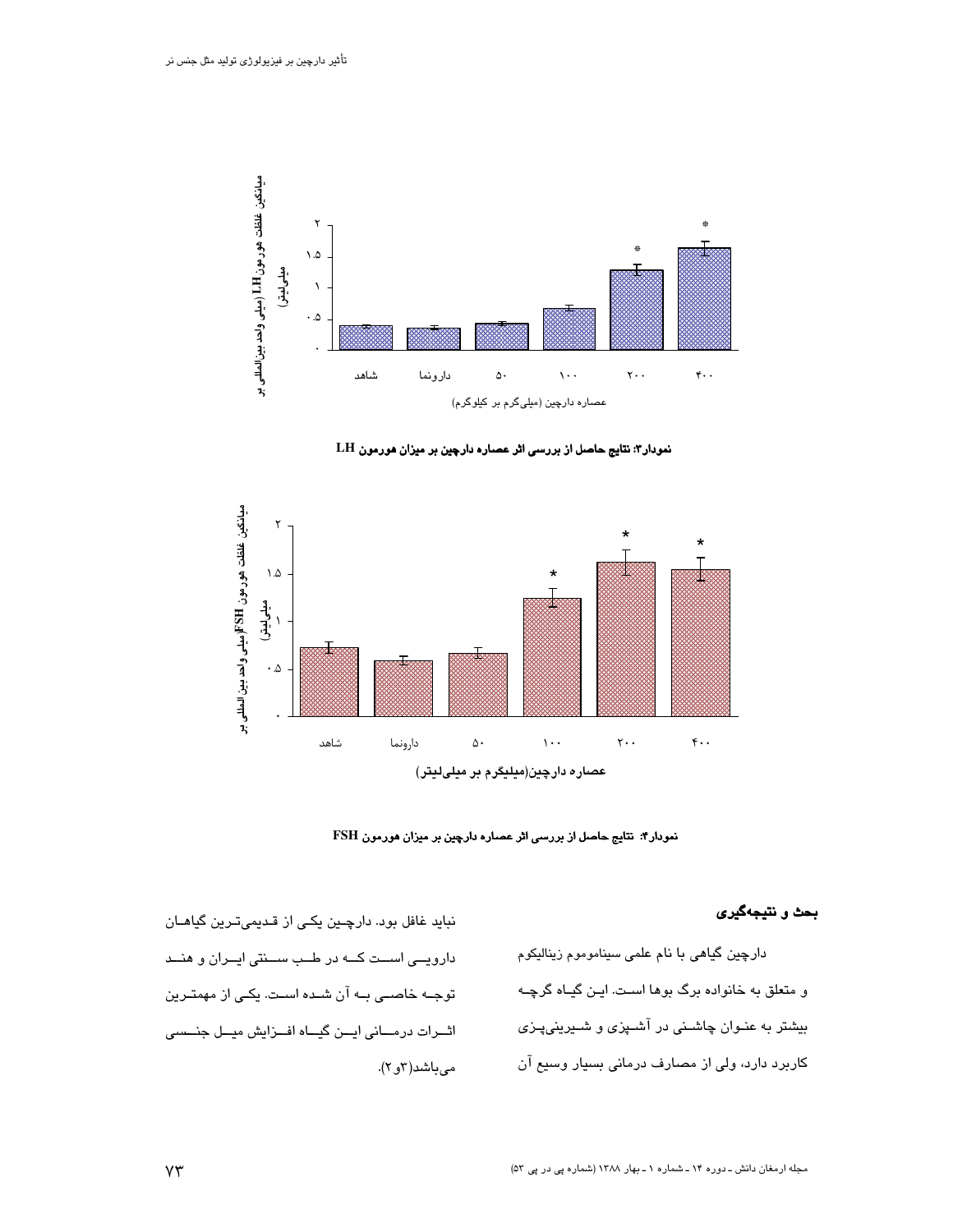

نمودار ٣: نتايج حاصل از بررسى اثر عصاره دارچين بر ميزان هورمون LH



نمودار۴: نتایج حاصل از بررسی اثر عصاره دارچین بر میزان هورمون FSH

## بحث و نتيجهگيري

دارچین گیاهی با نام علمی سیناموموم زینالیکوم و متعلق به خانواده برگ بوها است. ایـن گیـاه گرچـه بیشتر به عنـوان چاشـنی در آشـپزی و شـیرینیپـزی کاربرد دارد، ولی از مصارف درمانی بسیار وسیع آن

نباید غافل بود. دارچین یکی از قدیمیترین گیاهان دارویسی است کــه در طـب ســنتی ایــران و هنــد توجـه خاصـی بـه آن شـده اسـت. یکـی از مهمتـرین اثورات درمسانی ایسن گیساه افسزایش میسل جنسسی مىباشد(٢و٢).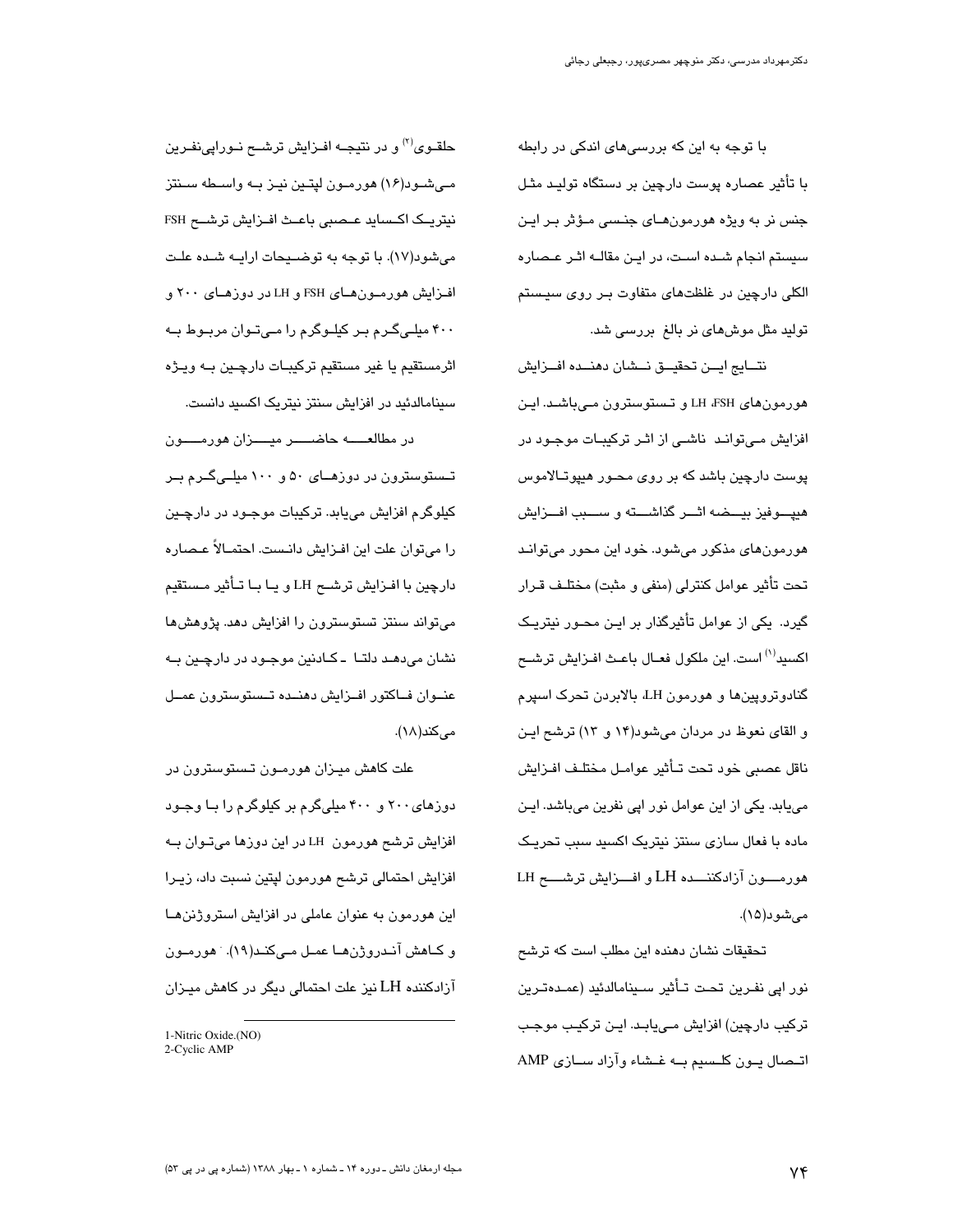یا توجه به این که پررسی های اندکی در رابطه با تأثیر عصاره پوست دارچین بر دستگاه تولیـد مثـل جنس نر به ویژه هورمونهـای جنـسی مـؤثر بـر ایـن سیستم انجام شـده اسـت، در ایـن مقالـه اثـر عـصاره الکلی دارچین در غلظتهای متفاوت بـر روی سیـستم تولید مثل موش۵ای نر بالغ بررسی شد.

نتسايج ايسن تحقيسق نسشان دهنسده افسزايش هورمونهای LH ،FSH و تـستوسترون مـیباشـد. ایـن افزایش مےتوانـد ناشـی از اثـر ترکیبـات موجـود در پوست دارچین باشد که بر روی محـور هیپوتـالاموس هيپــوفيز بيـــضـه اثـــر گذاشــــته و ســــبب افـــزايش هورمونهای مذکور میشود. خود این محور میتوانـد تحت تأثير عوامل كنترلى (منفى و مثبت) مختلـف قـرار گیرد. یکی از عوامل تأثیرگذار بر ایـن محـور نیتریـک اکسید<sup>(۱)</sup> است. این ملکول فعـال باعـث افـزایش ترشــ*ح* گنادوتروپینها و هورمون LH، بالابردن تحرک اسپرم و القای نعوظ در مردان میشود(۱۴ و ۱۳) ترشح ایـن ناقل عصبي خود تحت تـأثير عوامـل مختلـف افـزايش می یابد. یکی از این عوامل نور ایی نفرین می باشد. ایـن ماده با فعال سازی سنتز نبتریک اکسید سبب تحریـک هورمسون آزادکننسده LH و افسزایش ترشسم LH مىشود(١۵).

تحقیقات نشان دهنده این مطلب است که ترشح نور اپے نفـرین تحت تـأثیر سـینامالدئید (عمـدەتـرین ترکیب دارچین) افزایش مےپابـد. ایـن ترکیـب موجـب اتحمال يون كلسيم به غشاء وآزاد سيازى AMP

حلقــوي<sup>(۲)</sup> و در نتيجــه افــزايش ترشــــع نــوراپينفــرين مےشود(۱۶) هورمون لیتین نیـز بـه واسـطه سـنتز میشود(۱۷). با توجه به توضـیحات ارایــه شــده علـت افـزایش هورمـون هـای FSH و LH در دوزهـای ۲۰۰ و ۴۰۰ میلـیگـرم بـر کیلـوگرم را مـیتـوان مربـوط بـه اثرمستقيم يا غير مستقيم تركيبـات دارچـين بـه ويـژه سینامالدئید در افزایش سنتز نیتریک اکسید دانست.

در مطالعــــــه حاضــــــر ميـــــزان هورمــــــون تــستوسترون در دوزهــای ۵۰ و ۱۰۰ میلــیگــرم بــر کیلوگرم افزایش میبابد. ترکیبات موجـود در دارچـین را می توان علت این افـزایش دانـست. احتمـالاً عـصـاره دارچین با افـزایش ترشــح LH و یـا بـا تــأثیر مـستقیم می تواند سنتز تستوسترون را افزایش دهد. پژوهش ها نشان می دهـد دلتـا - کـادنین موجـود در دارچـین بـه عنىوان فساكتور افىزايش دهنىده تىستوسترون عمىل مىكند(١٨).

علت کاهش میـزان هورمـون تـستوسترون در دوزهای ۲۰۰ و ۴۰۰ میلی گرم بر کیلوگرم را بـا وجـود افزایش ترشح هورمون LH در این دوزها میتـوان بــه افزایش احتمالی ترشح هورمون لپتین نسبت داد، زیـرا این هورمون به عنوان عاملی در افزایش استروژنن هـا و كــاهش آنــدروژنهــا عمــل مــىكنــد(١٩). ً هورمــون آزادکننده LH نیز علت احتمالی دیگر در کاهش میـزان

<sup>1-</sup>Nitric Oxide.(NO) 2-Cyclic AMP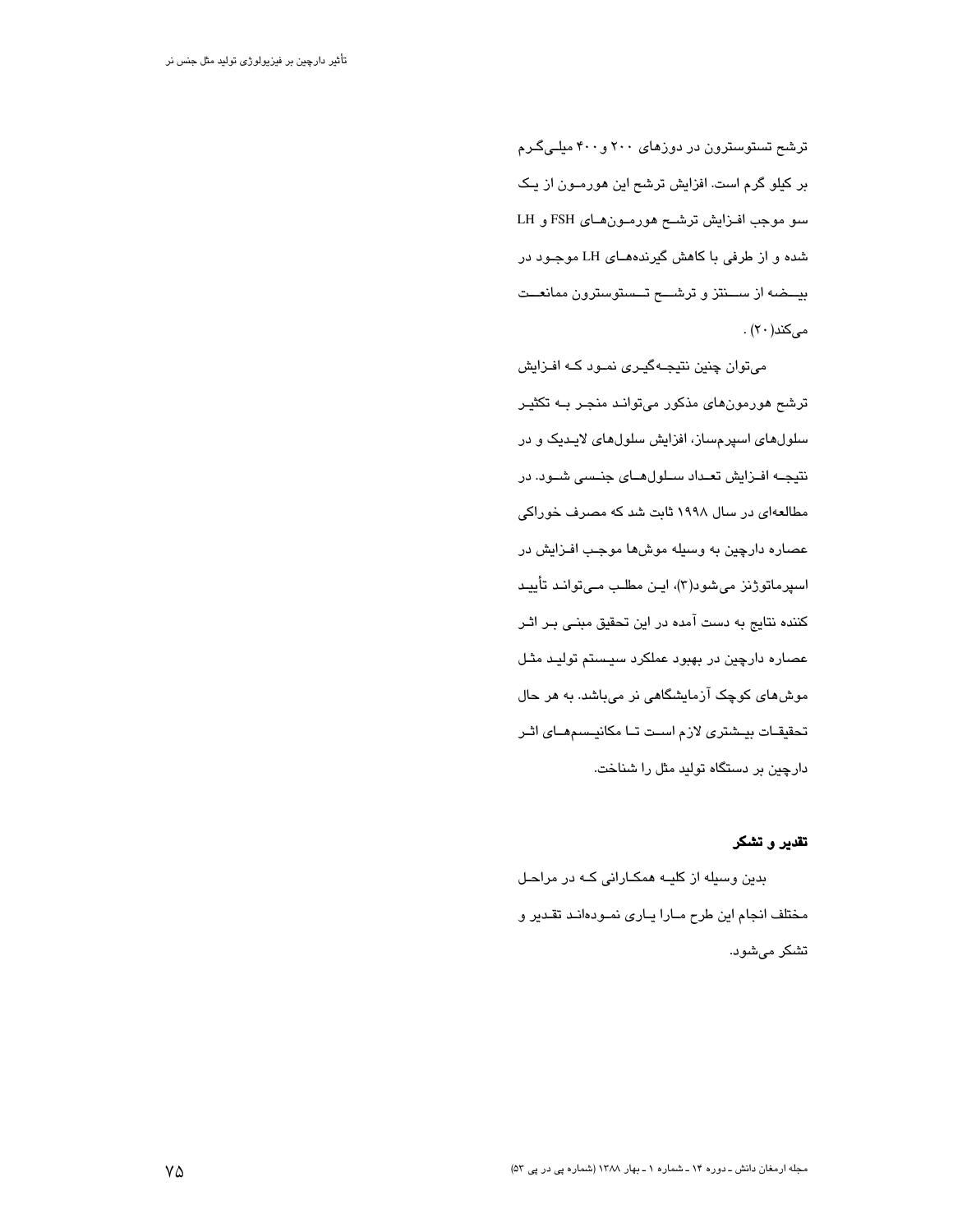ترشع تستوسترون در دوزهای ۲۰۰ و ۴۰۰ میلے گـرم بر کیلو گرم است. افزایش ترشح این هورمـون از یـک سو موجب افزایش ترشح هورمون های FSH و LH شده و از طرفی با کاهش گیرندههـای LH موجـود در بیــضه از ســنتز و ترشـــح تــستوسترون ممانعــت میکند(۲۰) .

میتوان چنین نتیجهگیری نمود کـه افـزایش ترشح هورمونهای مذکور میتواند منجـر بـه تکثیـر سلولهای اسپرمساز، افزایش سلولهای لایـدیک و در نتیجــه افــزایش تعــداد ســلولهــای جنــسی شــود. در مطالعهای در سال ۱۹۹۸ ثابت شد که مصرف خوراکی عصاره دارچین به وسیله موشها موجب افـزایش در اسپرماتوژنز میشود(۳)، ایـن مطلـب مـی توانـد تأییـد کننده نتایج به دست آمده در این تحقیق مبنـی بـر اثـر عصاره دارچین در بهبود عملکرد سیستم تولیـد مثـل موش مای کوچک آزمایشگاهی نر میباشد. به هر حال تحقیقـات بیـشتری لازم اسـت تـا مکانیـسمهـای اثـر دارچین بر دستگاه تولید مثل را شناخت.

تقدير وتشكر

بدین وسیله از کلیــه همکــارانی کــه در مراحـل مختلف انجام این طرح مارا یاری نمودهاند تقدیر و تشکر می شود.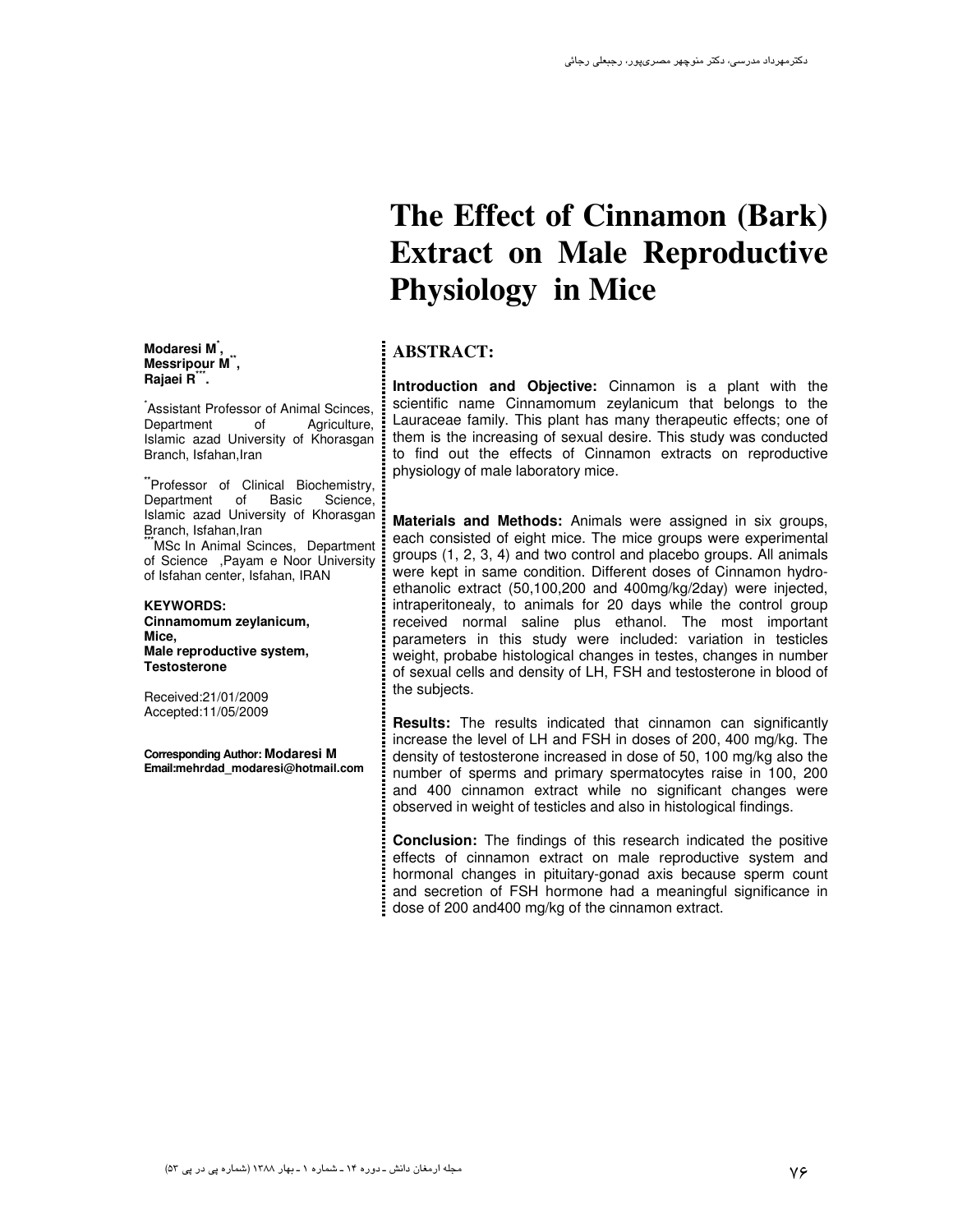#### **Modaresi M\* , Messripour M\*\* , Rajaei R\*\*\* .**

Assistant Professor of Animal Scinces,<br>Department of Aariculture. Department of Agriculture, Islamic azad University of Khorasgan Branch, Isfahan, Iran

 **\*\***Professor of Clinical Biochemistry, Department of Basic Science, Islamic azad University of Khorasgan Branch, Isfahan,Iran

**\*\*\***MSc In Animal Scinces,Department of Science ,Payam e Noor University of Isfahan center, Isfahan, IRAN

**KEYWORDS: Cinnamomum zeylanicum, Mice, Male reproductive system, Testosterone** 

Received:21/01/2009 Accepted:11/05/2009

**Corresponding Author: Modaresi M Email:mehrdad\_modaresi@hotmail.com** 

# **The Effect of Cinnamon (Bark) Extract on Male Reproductive Physiology in Mice**

# **ABSTRACT:**

**Introduction and Objective:** Cinnamon is a plant with the scientific name Cinnamomum zeylanicum that belongs to the Lauraceae family. This plant has many therapeutic effects; one of them is the increasing of sexual desire. This study was conducted to find out the effects of Cinnamon extracts on reproductive physiology of male laboratory mice.

**Materials and Methods:** Animals were assigned in six groups, each consisted of eight mice. The mice groups were experimental groups (1, 2, 3, 4) and two control and placebo groups. All animals were kept in same condition. Different doses of Cinnamon hydroethanolic extract (50,100,200 and 400mg/kg/2day) were injected, intraperitonealy, to animals for 20 days while the control group received normal saline plus ethanol. The most important parameters in this study were included: variation in testicles weight, probabe histological changes in testes, changes in number of sexual cells and density of LH, FSH and testosterone in blood of the subjects.

**Results:** The results indicated that cinnamon can significantly increase the level of LH and FSH in doses of 200, 400 mg/kg. The density of testosterone increased in dose of 50, 100 mg/kg also the number of sperms and primary spermatocytes raise in 100, 200 and 400 cinnamon extract while no significant changes were observed in weight of testicles and also in histological findings.

**Conclusion:** The findings of this research indicated the positive effects of cinnamon extract on male reproductive system and hormonal changes in pituitary-gonad axis because sperm count and secretion of FSH hormone had a meaningful significance in dose of 200 and400 mg/kg of the cinnamon extract.